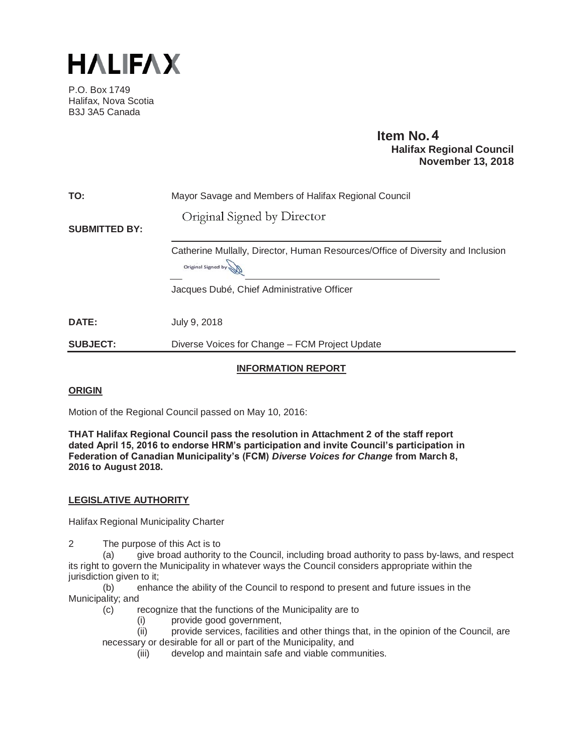

P.O. Box 1749 Halifax, Nova Scotia B3J 3A5 Canada

#### **Item No. Halifax Regional Council November 13, 2018**

| <b>TO:</b>           | Mayor Savage and Members of Halifax Regional Council                                                  |
|----------------------|-------------------------------------------------------------------------------------------------------|
| <b>SUBMITTED BY:</b> | Original Signed by Director                                                                           |
|                      | Catherine Mullally, Director, Human Resources/Office of Diversity and Inclusion<br>Original Signed by |
|                      | Jacques Dubé, Chief Administrative Officer                                                            |
| DATE:                | July 9, 2018                                                                                          |
| <b>SUBJECT:</b>      | Diverse Voices for Change - FCM Project Update                                                        |

#### **INFORMATION REPORT**

#### **ORIGIN**

Motion of the Regional Council passed on May 10, 2016:

**THAT Halifax Regional Council pass the resolution in Attachment 2 of the staff report dated April 15, 2016 to endorse HRM's participation and invite Council's participation in Federation of Canadian Municipality's (FCM)** *Diverse Voices for Change* **from March 8, 2016 to August 2018.** 

#### **LEGISLATIVE AUTHORITY**

Halifax Regional Municipality Charter

2 The purpose of this Act is to

(a) give broad authority to the Council, including broad authority to pass by-laws, and respect its right to govern the Municipality in whatever ways the Council considers appropriate within the jurisdiction given to it;

(b) enhance the ability of the Council to respond to present and future issues in the Municipality; and

(c) recognize that the functions of the Municipality are to

(i) provide good government,

(ii) provide services, facilities and other things that, in the opinion of the Council, are necessary or desirable for all or part of the Municipality, and

(iii) develop and maintain safe and viable communities.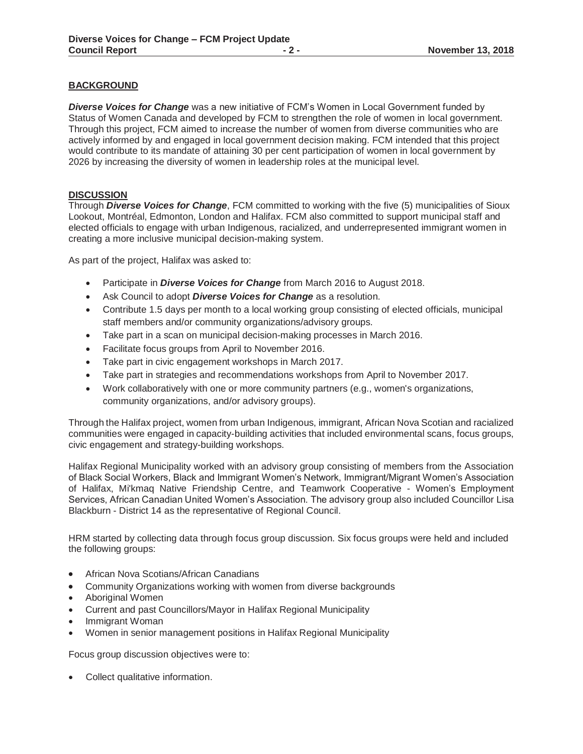#### **BACKGROUND**

*Diverse Voices for Change* was a new initiative of FCM's Women in Local Government funded by Status of Women Canada and developed by FCM to strengthen the role of women in local government. Through this project, FCM aimed to increase the number of women from diverse communities who are actively informed by and engaged in local government decision making. FCM intended that this project would contribute to its mandate of attaining 30 per cent participation of women in local government by 2026 by increasing the diversity of women in leadership roles at the municipal level.

#### **DISCUSSION**

Through *Diverse Voices for Change*, FCM committed to working with the five (5) municipalities of Sioux Lookout, Montréal, Edmonton, London and Halifax. FCM also committed to support municipal staff and elected officials to engage with urban Indigenous, racialized, and underrepresented immigrant women in creating a more inclusive municipal decision-making system.

As part of the project, Halifax was asked to:

- **•** Participate in *Diverse Voices for Change* from March 2016 to August 2018.
- **EXECOUNCLE 1** to adopt **Diverse Voices for Change** as a resolution.
- Contribute 1.5 days per month to a local working group consisting of elected officials, municipal staff members and/or community organizations/advisory groups.
- Take part in a scan on municipal decision-making processes in March 2016.
- Facilitate focus groups from April to November 2016.
- Take part in civic engagement workshops in March 2017.
- Take part in strategies and recommendations workshops from April to November 2017.
- Work collaboratively with one or more community partners (e.g., women's organizations, community organizations, and/or advisory groups).

Through the Halifax project, women from urban Indigenous, immigrant, African Nova Scotian and racialized communities were engaged in capacity-building activities that included environmental scans, focus groups, civic engagement and strategy-building workshops.

Halifax Regional Municipality worked with an advisory group consisting of members from the Association of Black Social Workers, Black and Immigrant Women's Network, Immigrant/Migrant Women's Association of Halifax, Mi'kmaq Native Friendship Centre, and Teamwork Cooperative - Women's Employment Services, African Canadian United Women's Association. The advisory group also included Councillor Lisa Blackburn - District 14 as the representative of Regional Council.

HRM started by collecting data through focus group discussion. Six focus groups were held and included the following groups:

- African Nova Scotians/African Canadians
- Community Organizations working with women from diverse backgrounds
- Aboriginal Women
- x Current and past Councillors/Mayor in Halifax Regional Municipality
- Immigrant Woman
- x Women in senior management positions in Halifax Regional Municipality

Focus group discussion objectives were to:

• Collect qualitative information.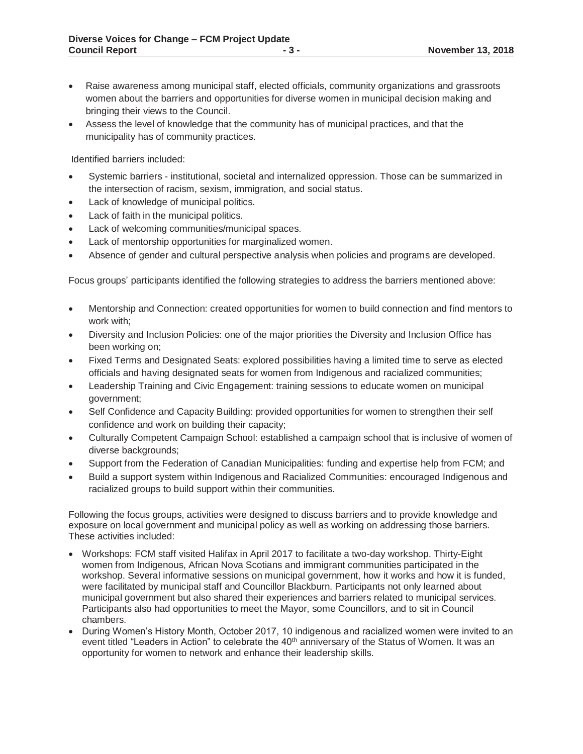- Raise awareness among municipal staff, elected officials, community organizations and grassroots women about the barriers and opportunities for diverse women in municipal decision making and bringing their views to the Council.
- Assess the level of knowledge that the community has of municipal practices, and that the municipality has of community practices.

Identified barriers included:

- Systemic barriers institutional, societal and internalized oppression. Those can be summarized in the intersection of racism, sexism, immigration, and social status.
- Lack of knowledge of municipal politics.
- Lack of faith in the municipal politics.
- Lack of welcoming communities/municipal spaces.
- Lack of mentorship opportunities for marginalized women.
- Absence of gender and cultural perspective analysis when policies and programs are developed.

Focus groups' participants identified the following strategies to address the barriers mentioned above:

- Mentorship and Connection: created opportunities for women to build connection and find mentors to work with;
- Diversity and Inclusion Policies: one of the major priorities the Diversity and Inclusion Office has been working on;
- Fixed Terms and Designated Seats: explored possibilities having a limited time to serve as elected officials and having designated seats for women from Indigenous and racialized communities;
- Leadership Training and Civic Engagement: training sessions to educate women on municipal government;
- Self Confidence and Capacity Building: provided opportunities for women to strengthen their self confidence and work on building their capacity;
- Culturally Competent Campaign School: established a campaign school that is inclusive of women of diverse backgrounds;
- Support from the Federation of Canadian Municipalities: funding and expertise help from FCM; and
- Build a support system within Indigenous and Racialized Communities: encouraged Indigenous and racialized groups to build support within their communities.

Following the focus groups, activities were designed to discuss barriers and to provide knowledge and exposure on local government and municipal policy as well as working on addressing those barriers. These activities included:

- Workshops: FCM staff visited Halifax in April 2017 to facilitate a two-day workshop. Thirty-Eight women from Indigenous, African Nova Scotians and immigrant communities participated in the workshop. Several informative sessions on municipal government, how it works and how it is funded, were facilitated by municipal staff and Councillor Blackburn. Participants not only learned about municipal government but also shared their experiences and barriers related to municipal services. Participants also had opportunities to meet the Mayor, some Councillors, and to sit in Council chambers.
- During Women's History Month, October 2017, 10 indigenous and racialized women were invited to an event titled "Leaders in Action" to celebrate the 40<sup>th</sup> anniversary of the Status of Women. It was an opportunity for women to network and enhance their leadership skills.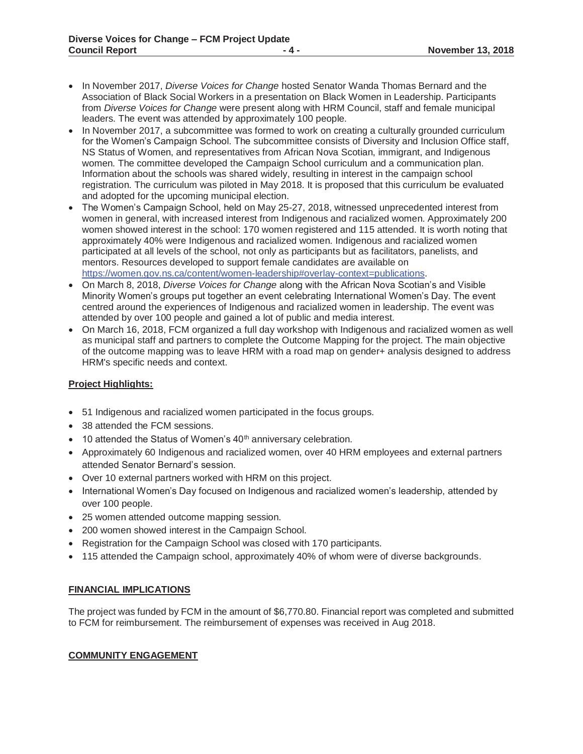- x In November 2017, *Diverse Voices for Change* hosted Senator Wanda Thomas Bernard and the Association of Black Social Workers in a presentation on Black Women in Leadership. Participants from *Diverse Voices for Change* were present along with HRM Council, staff and female municipal leaders. The event was attended by approximately 100 people.
- In November 2017, a subcommittee was formed to work on creating a culturally grounded curriculum for the Women's Campaign School. The subcommittee consists of Diversity and Inclusion Office staff, NS Status of Women, and representatives from African Nova Scotian, immigrant, and Indigenous women. The committee developed the Campaign School curriculum and a communication plan. Information about the schools was shared widely, resulting in interest in the campaign school registration. The curriculum was piloted in May 2018. It is proposed that this curriculum be evaluated and adopted for the upcoming municipal election.
- The Women's Campaign School, held on May 25-27, 2018, witnessed unprecedented interest from women in general, with increased interest from Indigenous and racialized women. Approximately 200 women showed interest in the school: 170 women registered and 115 attended. It is worth noting that approximately 40% were Indigenous and racialized women. Indigenous and racialized women participated at all levels of the school, not only as participants but as facilitators, panelists, and mentors. Resources developed to support female candidates are available on https://women.gov.ns.ca/content/women-leadership#overlay-context=publications.
- x On March 8, 2018, *Diverse Voices for Change* along with the African Nova Scotian's and Visible Minority Women's groups put together an event celebrating International Women's Day. The event centred around the experiences of Indigenous and racialized women in leadership. The event was attended by over 100 people and gained a lot of public and media interest.
- On March 16, 2018, FCM organized a full day workshop with Indigenous and racialized women as well as municipal staff and partners to complete the Outcome Mapping for the project. The main objective of the outcome mapping was to leave HRM with a road map on gender+ analysis designed to address HRM's specific needs and context.

#### **Project Highlights:**

- 51 Indigenous and racialized women participated in the focus groups.
- 38 attended the FCM sessions.
- $\bullet$  10 attended the Status of Women's 40<sup>th</sup> anniversary celebration.
- Approximately 60 Indigenous and racialized women, over 40 HRM employees and external partners attended Senator Bernard's session.
- Over 10 external partners worked with HRM on this project.
- International Women's Day focused on Indigenous and racialized women's leadership, attended by over 100 people.
- 25 women attended outcome mapping session.
- 200 women showed interest in the Campaign School.
- Registration for the Campaign School was closed with 170 participants.
- 115 attended the Campaign school, approximately 40% of whom were of diverse backgrounds.

#### **FINANCIAL IMPLICATIONS**

The project was funded by FCM in the amount of \$6,770.80. Financial report was completed and submitted to FCM for reimbursement. The reimbursement of expenses was received in Aug 2018.

#### **COMMUNITY ENGAGEMENT**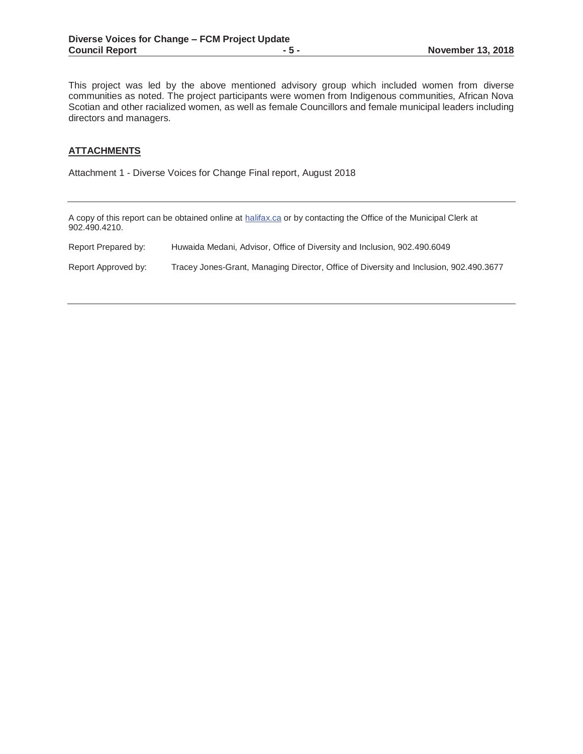This project was led by the above mentioned advisory group which included women from diverse communities as noted. The project participants were women from Indigenous communities, African Nova Scotian and other racialized women, as well as female Councillors and female municipal leaders including directors and managers.

#### **ATTACHMENTS**

Attachment 1 - Diverse Voices for Change Final report, August 2018

| 902.490.4210.       | A copy of this report can be obtained online at halifax.ca or by contacting the Office of the Municipal Clerk at |
|---------------------|------------------------------------------------------------------------------------------------------------------|
| Report Prepared by: | Huwaida Medani, Advisor, Office of Diversity and Inclusion, 902.490.6049                                         |
| Report Approved by: | Tracey Jones-Grant, Managing Director, Office of Diversity and Inclusion, 902.490.3677                           |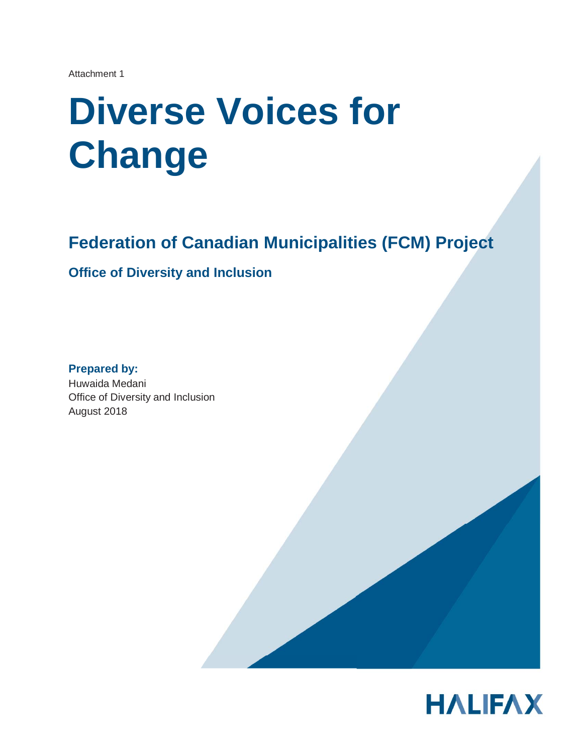Attachment 1

# **Diverse Voices for Change**

## **Federation of Canadian Municipalities (FCM) Project**

**Office of Diversity and Inclusion** 

**Prepared by:**  Huwaida Medani Office of Diversity and Inclusion August 2018

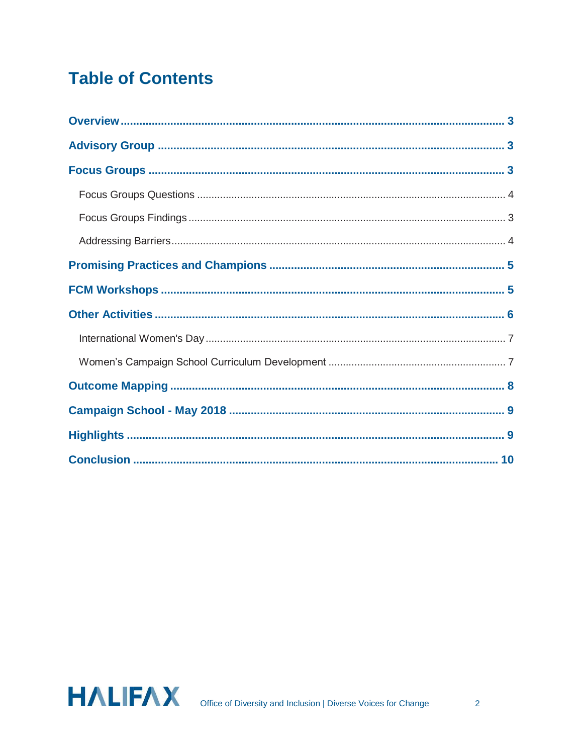# **Table of Contents**

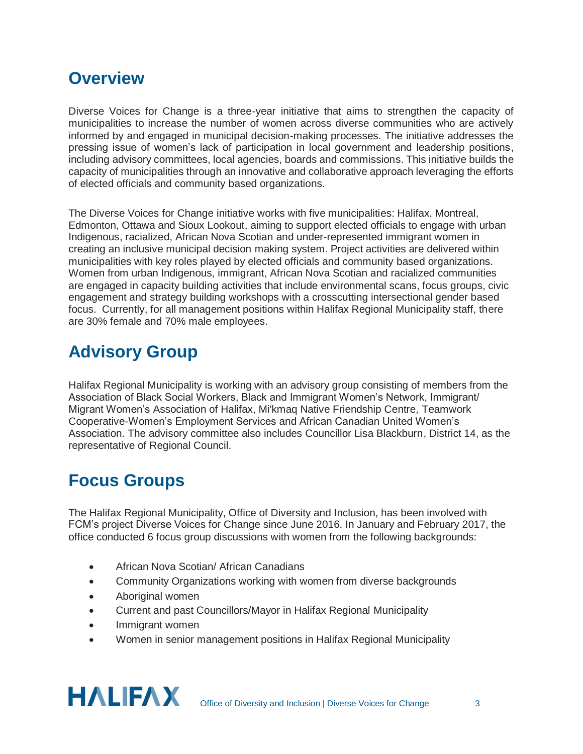## **Overview**

Diverse Voices for Change is a three-year initiative that aims to strengthen the capacity of municipalities to increase the number of women across diverse communities who are actively informed by and engaged in municipal decision-making processes. The initiative addresses the pressing issue of women's lack of participation in local government and leadership positions, including advisory committees, local agencies, boards and commissions. This initiative builds the capacity of municipalities through an innovative and collaborative approach leveraging the efforts of elected officials and community based organizations.

The Diverse Voices for Change initiative works with five municipalities: Halifax, Montreal, Edmonton, Ottawa and Sioux Lookout, aiming to support elected officials to engage with urban Indigenous, racialized, African Nova Scotian and under-represented immigrant women in creating an inclusive municipal decision making system. Project activities are delivered within municipalities with key roles played by elected officials and community based organizations. Women from urban Indigenous, immigrant, African Nova Scotian and racialized communities are engaged in capacity building activities that include environmental scans, focus groups, civic engagement and strategy building workshops with a crosscutting intersectional gender based focus. Currently, for all management positions within Halifax Regional Municipality staff, there are 30% female and 70% male employees.

# **Advisory Group**

Halifax Regional Municipality is working with an advisory group consisting of members from the Association of Black Social Workers, Black and Immigrant Women's Network, Immigrant/ Migrant Women's Association of Halifax, Mi'kmaq Native Friendship Centre, Teamwork Cooperative-Women's Employment Services and African Canadian United Women's Association. The advisory committee also includes Councillor Lisa Blackburn, District 14, as the representative of Regional Council.

## **Focus Groups**

The Halifax Regional Municipality, Office of Diversity and Inclusion, has been involved with FCM's project Diverse Voices for Change since June 2016. In January and February 2017, the office conducted 6 focus group discussions with women from the following backgrounds:

- African Nova Scotian/ African Canadians
- Community Organizations working with women from diverse backgrounds
- Aboriginal women
- Current and past Councillors/Mayor in Halifax Regional Municipality
- Immigrant women
- Women in senior management positions in Halifax Regional Municipality

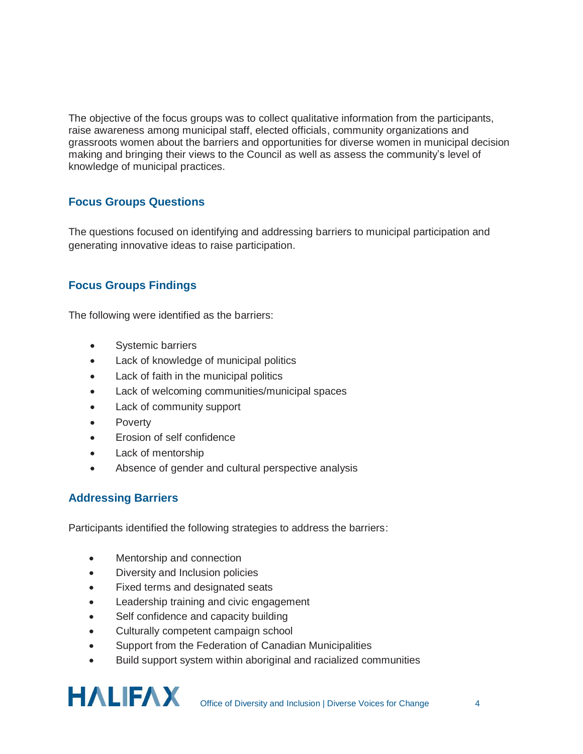The objective of the focus groups was to collect qualitative information from the participants, raise awareness among municipal staff, elected officials, community organizations and grassroots women about the barriers and opportunities for diverse women in municipal decision making and bringing their views to the Council as well as assess the community's level of knowledge of municipal practices.

#### **Focus Groups Questions**

The questions focused on identifying and addressing barriers to municipal participation and generating innovative ideas to raise participation.

## **Focus Groups Findings**

The following were identified as the barriers:

- Systemic barriers
- Lack of knowledge of municipal politics
- Lack of faith in the municipal politics
- Lack of welcoming communities/municipal spaces
- Lack of community support
- **Poverty**
- Erosion of self confidence
- Lack of mentorship
- Absence of gender and cultural perspective analysis

## **Addressing Barriers**

Participants identified the following strategies to address the barriers:

- Mentorship and connection
- Diversity and Inclusion policies
- Fixed terms and designated seats
- **•** Leadership training and civic engagement
- Self confidence and capacity building
- Culturally competent campaign school
- Support from the Federation of Canadian Municipalities
- **•** Build support system within aboriginal and racialized communities

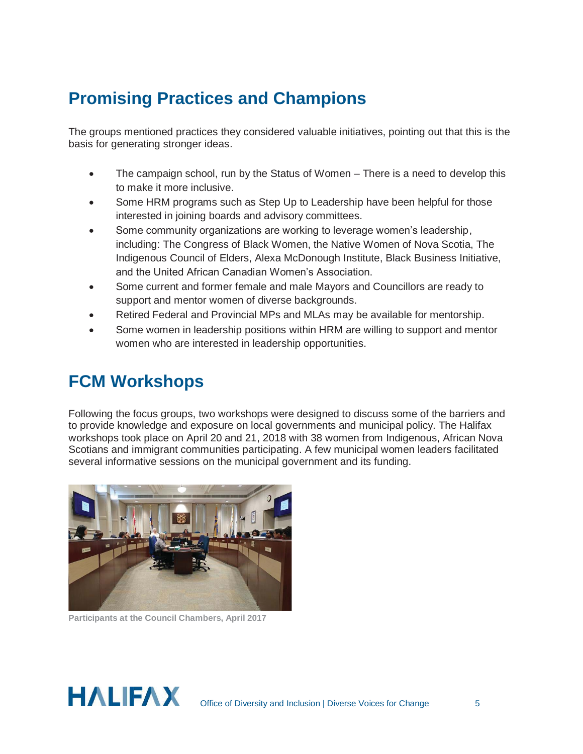# **Promising Practices and Champions**

The groups mentioned practices they considered valuable initiatives, pointing out that this is the basis for generating stronger ideas.

- The campaign school, run by the Status of Women There is a need to develop this to make it more inclusive.
- Some HRM programs such as Step Up to Leadership have been helpful for those interested in joining boards and advisory committees.
- Some community organizations are working to leverage women's leadership, including: The Congress of Black Women, the Native Women of Nova Scotia, The Indigenous Council of Elders, Alexa McDonough Institute, Black Business Initiative, and the United African Canadian Women's Association.
- Some current and former female and male Mayors and Councillors are ready to support and mentor women of diverse backgrounds.
- Retired Federal and Provincial MPs and MLAs may be available for mentorship.
- Some women in leadership positions within HRM are willing to support and mentor women who are interested in leadership opportunities.

## **FCM Workshops**

Following the focus groups, two workshops were designed to discuss some of the barriers and to provide knowledge and exposure on local governments and municipal policy. The Halifax workshops took place on April 20 and 21, 2018 with 38 women from Indigenous, African Nova Scotians and immigrant communities participating. A few municipal women leaders facilitated several informative sessions on the municipal government and its funding.



**Participants at the Council Chambers, April 2017** 

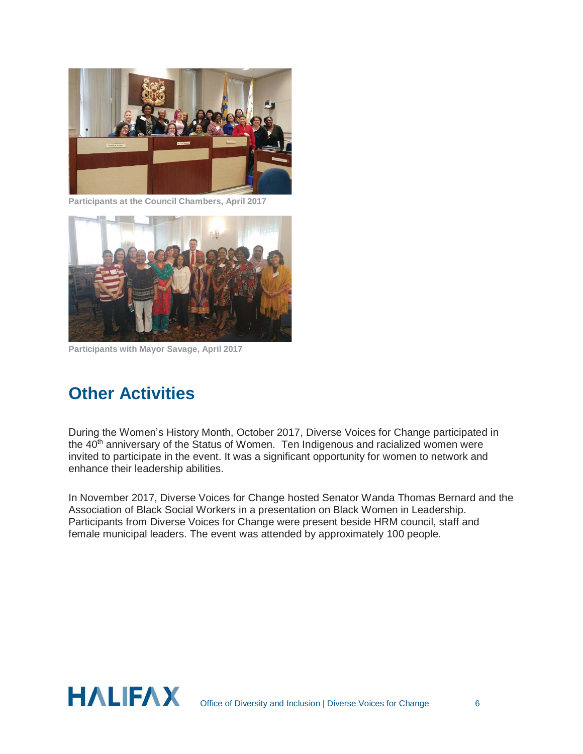

**Participants at the Council Chambers, April 2017** 



**Participants with Mayor Savage, April 2017** 

## **Other Activities**

During the Women's History Month, October 2017, Diverse Voices for Change participated in the 40<sup>th</sup> anniversary of the Status of Women. Ten Indigenous and racialized women were invited to participate in the event. It was a significant opportunity for women to network and enhance their leadership abilities.

In November 2017, Diverse Voices for Change hosted Senator Wanda Thomas Bernard and the Association of Black Social Workers in a presentation on Black Women in Leadership. Participants from Diverse Voices for Change were present beside HRM council, staff and female municipal leaders. The event was attended by approximately 100 people.

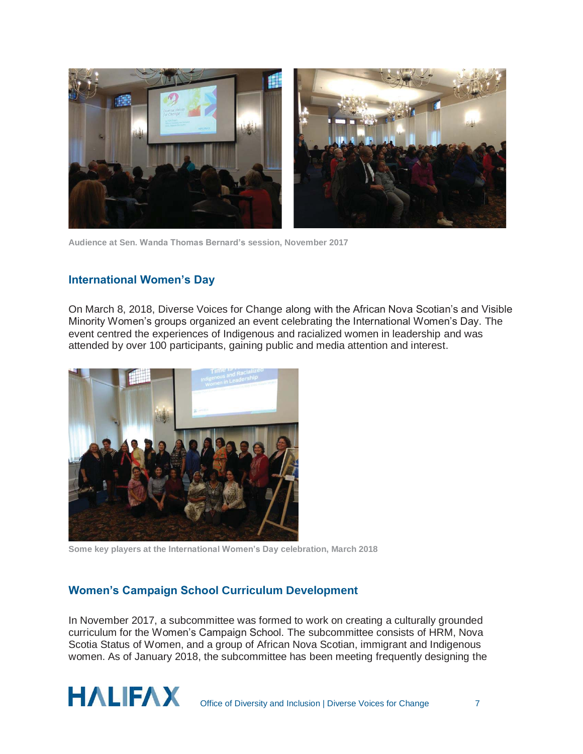

**Audience at Sen. Wanda Thomas Bernard's session, November 2017** 

#### **International Women's Day**

On March 8, 2018, Diverse Voices for Change along with the African Nova Scotian's and Visible Minority Women's groups organized an event celebrating the International Women's Day. The event centred the experiences of Indigenous and racialized women in leadership and was attended by over 100 participants, gaining public and media attention and interest.



**Some key players at the International Women's Day celebration, March 2018** 

## **Women's Campaign School Curriculum Development**

In November 2017, a subcommittee was formed to work on creating a culturally grounded curriculum for the Women's Campaign School. The subcommittee consists of HRM, Nova Scotia Status of Women, and a group of African Nova Scotian, immigrant and Indigenous women. As of January 2018, the subcommittee has been meeting frequently designing the

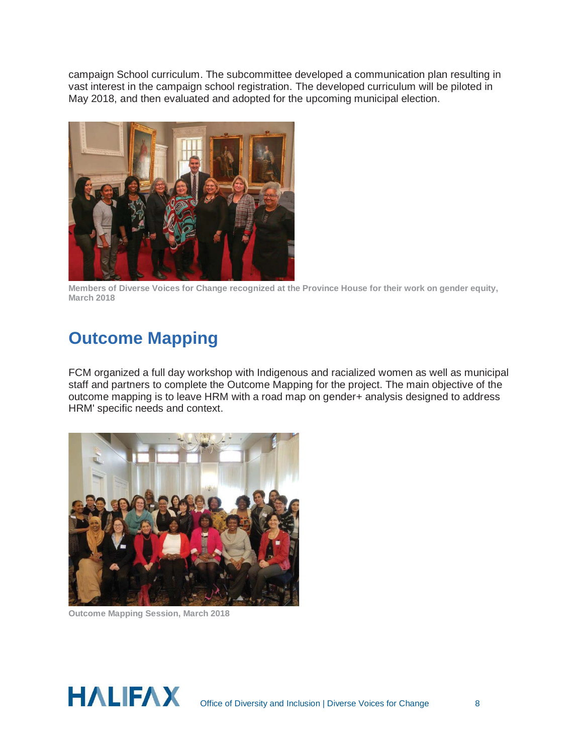campaign School curriculum. The subcommittee developed a communication plan resulting in vast interest in the campaign school registration. The developed curriculum will be piloted in May 2018, and then evaluated and adopted for the upcoming municipal election.



**Members of Diverse Voices for Change recognized at the Province House for their work on gender equity, March 2018** 

## **Outcome Mapping**

FCM organized a full day workshop with Indigenous and racialized women as well as municipal staff and partners to complete the Outcome Mapping for the project. The main objective of the outcome mapping is to leave HRM with a road map on gender+ analysis designed to address HRM' specific needs and context.



**Outcome Mapping Session, March 2018** 

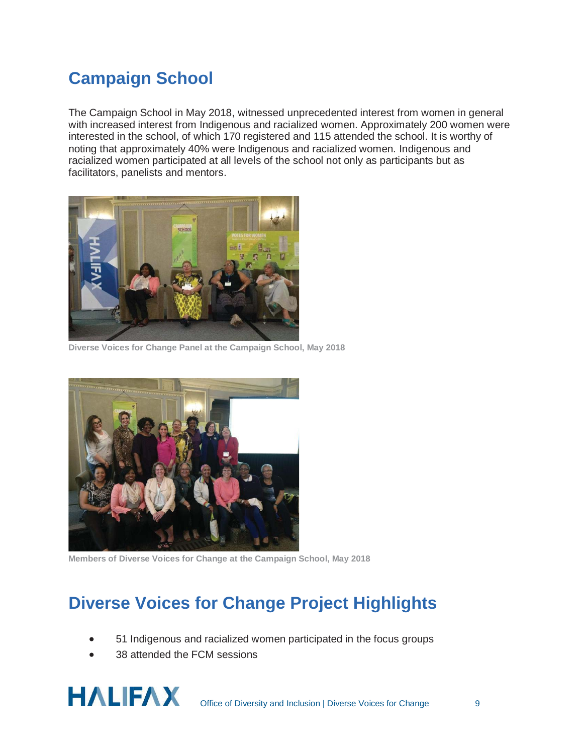# **Campaign School**

The Campaign School in May 2018, witnessed unprecedented interest from women in general with increased interest from Indigenous and racialized women. Approximately 200 women were interested in the school, of which 170 registered and 115 attended the school. It is worthy of noting that approximately 40% were Indigenous and racialized women. Indigenous and racialized women participated at all levels of the school not only as participants but as facilitators, panelists and mentors.



**Diverse Voices for Change Panel at the Campaign School, May 2018** 



**Members of Diverse Voices for Change at the Campaign School, May 2018** 

# **Diverse Voices for Change Project Highlights**

- 51 Indigenous and racialized women participated in the focus groups
- 38 attended the FCM sessions